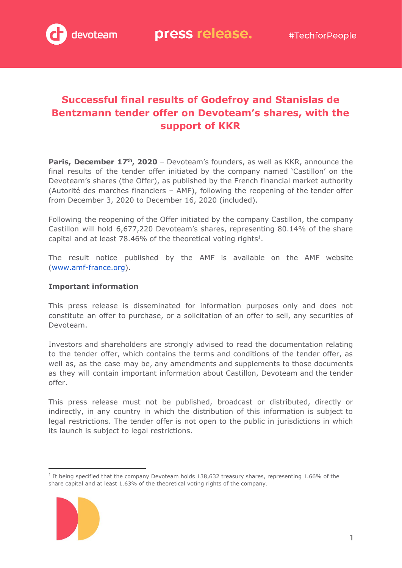# **Successful final results of Godefroy and Stanislas de Bentzmann tender offer on Devoteam's shares, with the support of KKR**

**Paris, December 17th , 2020** – Devoteam's founders, as well as KKR, announce the final results of the tender offer initiated by the company named 'Castillon' on the Devoteam's shares (the Offer), as published by the French financial market authority (Autorité des marches financiers – AMF), following the reopening of the tender offer from December 3, 2020 to December 16, 2020 (included).

Following the reopening of the Offer initiated by the company Castillon, the company Castillon will hold 6,677,220 Devoteam's shares, representing 80.14% of the share capital and at least  $78.46\%$  of the theoretical voting rights<sup>1</sup>.

The result notice published by the AMF is available on the AMF website ([www.amf-france.org](http://www.amf-france.org/)).

#### **Important information**

This press release is disseminated for information purposes only and does not constitute an offer to purchase, or a solicitation of an offer to sell, any securities of Devoteam.

Investors and shareholders are strongly advised to read the documentation relating to the tender offer, which contains the terms and conditions of the tender offer, as well as, as the case may be, any amendments and supplements to those documents as they will contain important information about Castillon, Devoteam and the tender offer.

This press release must not be published, broadcast or distributed, directly or indirectly, in any country in which the distribution of this information is subject to legal restrictions. The tender offer is not open to the public in jurisdictions in which its launch is subject to legal restrictions.

<sup>&</sup>lt;sup>1</sup> It being specified that the company Devoteam holds 138,632 treasury shares, representing 1.66% of the share capital and at least 1.63% of the theoretical voting rights of the company.